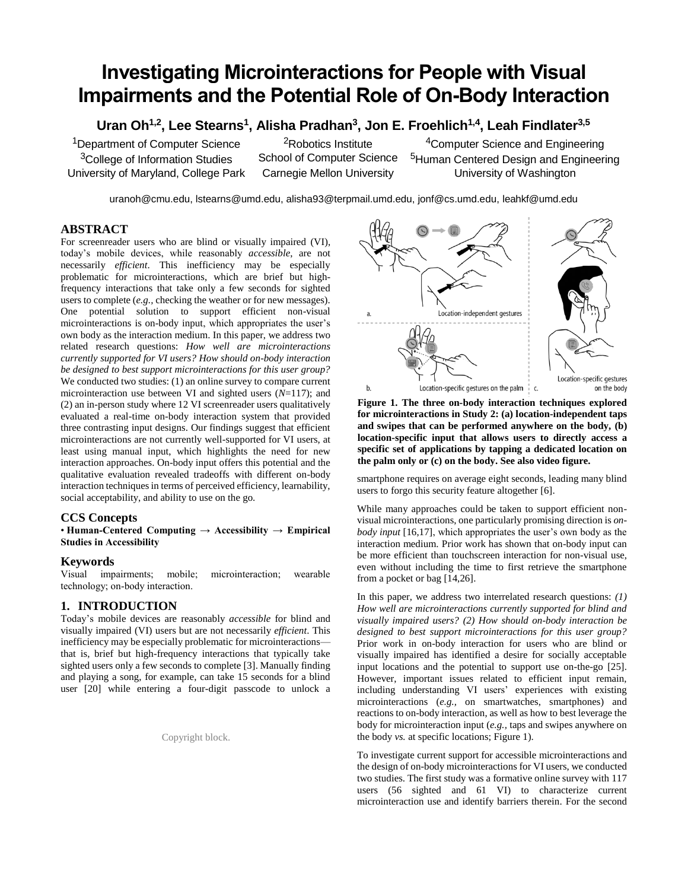# **Investigating Microinteractions for People with Visual Impairments and the Potential Role of On-Body Interaction**

**Uran Oh1,2, Lee Stearns<sup>1</sup> , Alisha Pradhan<sup>3</sup> , Jon E. Froehlich1,4, Leah Findlater3,5**

<sup>1</sup>Department of Computer Science <sup>3</sup>College of Information Studies University of Maryland, College Park

<sup>2</sup>Robotics Institute School of Computer Science Carnegie Mellon University

<sup>4</sup>Computer Science and Engineering <sup>5</sup>Human Centered Design and Engineering University of Washington

uranoh@cmu.edu, lstearns@umd.edu, alisha93@terpmail.umd.edu, jonf@cs.umd.edu, leahkf@umd.edu

# **ABSTRACT**

For screenreader users who are blind or visually impaired (VI), today's mobile devices, while reasonably *accessible*, are not necessarily *efficient*. This inefficiency may be especially problematic for microinteractions, which are brief but highfrequency interactions that take only a few seconds for sighted users to complete (*e.g.,* checking the weather or for new messages). One potential solution to support efficient non-visual microinteractions is on-body input, which appropriates the user's own body as the interaction medium. In this paper, we address two related research questions: *How well are microinteractions currently supported for VI users? How should on-body interaction be designed to best support microinteractions for this user group?* We conducted two studies: (1) an online survey to compare current microinteraction use between VI and sighted users (*N*=117); and (2) an in-person study where 12 VI screenreader users qualitatively evaluated a real-time on-body interaction system that provided three contrasting input designs. Our findings suggest that efficient microinteractions are not currently well-supported for VI users, at least using manual input, which highlights the need for new interaction approaches. On-body input offers this potential and the qualitative evaluation revealed tradeoffs with different on-body interaction techniques in terms of perceived efficiency, learnability, social acceptability, and ability to use on the go.

# **CCS Concepts**

• **Human-Centered Computing** → **Accessibility → Empirical Studies in Accessibility**

# **Keywords**

Visual impairments; mobile; microinteraction; wearable technology; on-body interaction.

# **1. INTRODUCTION**

Today's mobile devices are reasonably *accessible* for blind and visually impaired (VI) users but are not necessarily *efficient*. This inefficiency may be especially problematic for microinteractions that is, brief but high-frequency interactions that typically take sighted users only a few seconds to complete [3]. Manually finding and playing a song, for example, can take 15 seconds for a blind user [20] while entering a four-digit passcode to unlock a

Copyright block.



**Figure 1. The three on-body interaction techniques explored for microinteractions in Study 2: (a) location-independent taps and swipes that can be performed anywhere on the body, (b) location-specific input that allows users to directly access a specific set of applications by tapping a dedicated location on the palm only or (c) on the body. See also video figure.**

smartphone requires on average eight seconds, leading many blind users to forgo this security feature altogether [6].

While many approaches could be taken to support efficient nonvisual microinteractions, one particularly promising direction is *onbody input* [16,17], which appropriates the user's own body as the interaction medium. Prior work has shown that on-body input can be more efficient than touchscreen interaction for non-visual use, even without including the time to first retrieve the smartphone from a pocket or bag [14,26].

In this paper, we address two interrelated research questions: *(1) How well are microinteractions currently supported for blind and visually impaired users? (2) How should on-body interaction be designed to best support microinteractions for this user group?* Prior work in on-body interaction for users who are blind or visually impaired has identified a desire for socially acceptable input locations and the potential to support use on-the-go [25]. However, important issues related to efficient input remain, including understanding VI users' experiences with existing microinteractions (*e.g.,* on smartwatches, smartphones) and reactions to on-body interaction, as well as how to best leverage the body for microinteraction input (*e.g.,* taps and swipes anywhere on the body *vs.* at specific locations; Figure 1).

To investigate current support for accessible microinteractions and the design of on-body microinteractions for VI users, we conducted two studies. The first study was a formative online survey with 117 users (56 sighted and 61 VI) to characterize current microinteraction use and identify barriers therein. For the second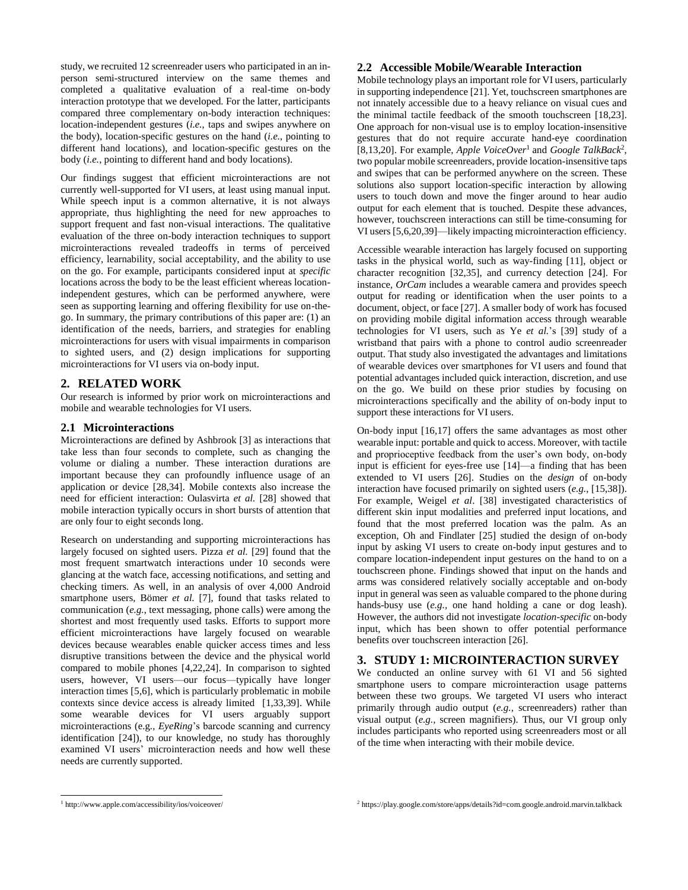study, we recruited 12 screenreader users who participated in an inperson semi-structured interview on the same themes and completed a qualitative evaluation of a real-time on-body interaction prototype that we developed. For the latter, participants compared three complementary on-body interaction techniques: location-independent gestures (*i.e.*, taps and swipes anywhere on the body), location-specific gestures on the hand (*i.e.*, pointing to different hand locations), and location-specific gestures on the body (*i.e.*, pointing to different hand and body locations).

Our findings suggest that efficient microinteractions are not currently well-supported for VI users, at least using manual input. While speech input is a common alternative, it is not always appropriate, thus highlighting the need for new approaches to support frequent and fast non-visual interactions. The qualitative evaluation of the three on-body interaction techniques to support microinteractions revealed tradeoffs in terms of perceived efficiency, learnability, social acceptability, and the ability to use on the go. For example, participants considered input at *specific* locations across the body to be the least efficient whereas locationindependent gestures, which can be performed anywhere, were seen as supporting learning and offering flexibility for use on-thego. In summary, the primary contributions of this paper are: (1) an identification of the needs, barriers, and strategies for enabling microinteractions for users with visual impairments in comparison to sighted users, and (2) design implications for supporting microinteractions for VI users via on-body input.

# **2. RELATED WORK**

Our research is informed by prior work on microinteractions and mobile and wearable technologies for VI users.

# **2.1 Microinteractions**

Microinteractions are defined by Ashbrook [3] as interactions that take less than four seconds to complete, such as changing the volume or dialing a number. These interaction durations are important because they can profoundly influence usage of an application or device [28,34]. Mobile contexts also increase the need for efficient interaction: Oulasvirta *et al.* [28] showed that mobile interaction typically occurs in short bursts of attention that are only four to eight seconds long.

Research on understanding and supporting microinteractions has largely focused on sighted users. Pizza *et al.* [29] found that the most frequent smartwatch interactions under 10 seconds were glancing at the watch face, accessing notifications, and setting and checking timers. As well, in an analysis of over 4,000 Android smartphone users, Bömer *et al.* [7], found that tasks related to communication (*e.g.*, text messaging, phone calls) were among the shortest and most frequently used tasks. Efforts to support more efficient microinteractions have largely focused on wearable devices because wearables enable quicker access times and less disruptive transitions between the device and the physical world compared to mobile phones [4,22,24]. In comparison to sighted users, however, VI users—our focus—typically have longer interaction times [5,6], which is particularly problematic in mobile contexts since device access is already limited [1,33,39]. While some wearable devices for VI users arguably support microinteractions (e.g., *EyeRing*'s barcode scanning and currency identification [24]), to our knowledge, no study has thoroughly examined VI users' microinteraction needs and how well these needs are currently supported.

# **2.2 Accessible Mobile/Wearable Interaction**

Mobile technology plays an important role for VI users, particularly in supporting independence [21]. Yet, touchscreen smartphones are not innately accessible due to a heavy reliance on visual cues and the minimal tactile feedback of the smooth touchscreen [18,23]. One approach for non-visual use is to employ location-insensitive gestures that do not require accurate hand-eye coordination [8,13,20]. For example, *Apple VoiceOver*<sup>1</sup> and *Google TalkBack*<sup>2</sup> , two popular mobile screenreaders, provide location-insensitive taps and swipes that can be performed anywhere on the screen. These solutions also support location-specific interaction by allowing users to touch down and move the finger around to hear audio output for each element that is touched. Despite these advances, however, touchscreen interactions can still be time-consuming for VI users [5,6,20,39]—likely impacting microinteraction efficiency.

Accessible wearable interaction has largely focused on supporting tasks in the physical world, such as way-finding [11], object or character recognition [32,35], and currency detection [24]. For instance, *OrCam* includes a wearable camera and provides speech output for reading or identification when the user points to a document, object, or face [27]. A smaller body of work has focused on providing mobile digital information access through wearable technologies for VI users, such as Ye *et al.*'s [39] study of a wristband that pairs with a phone to control audio screenreader output. That study also investigated the advantages and limitations of wearable devices over smartphones for VI users and found that potential advantages included quick interaction, discretion, and use on the go. We build on these prior studies by focusing on microinteractions specifically and the ability of on-body input to support these interactions for VI users.

On-body input [16,17] offers the same advantages as most other wearable input: portable and quick to access. Moreover, with tactile and proprioceptive feedback from the user's own body, on-body input is efficient for eyes-free use [14]—a finding that has been extended to VI users [26]. Studies on the *design* of on-body interaction have focused primarily on sighted users (*e.g.*, [15,38]). For example, Weigel *et al*. [38] investigated characteristics of different skin input modalities and preferred input locations, and found that the most preferred location was the palm. As an exception, Oh and Findlater [25] studied the design of on-body input by asking VI users to create on-body input gestures and to compare location-independent input gestures on the hand to on a touchscreen phone. Findings showed that input on the hands and arms was considered relatively socially acceptable and on-body input in general was seen as valuable compared to the phone during hands-busy use (*e.g.*, one hand holding a cane or dog leash). However, the authors did not investigate *location-specific* on-body input, which has been shown to offer potential performance benefits over touchscreen interaction [26].

# **3. STUDY 1: MICROINTERACTION SURVEY**

We conducted an online survey with 61 VI and 56 sighted smartphone users to compare microinteraction usage patterns between these two groups. We targeted VI users who interact primarily through audio output (*e.g.,* screenreaders) rather than visual output (*e.g.,* screen magnifiers). Thus, our VI group only includes participants who reported using screenreaders most or all of the time when interacting with their mobile device.

l

<sup>1</sup> http://www.apple.com/accessibility/ios/voiceover/

<sup>&</sup>lt;sup>2</sup> https://play.google.com/store/apps/details?id=com.google.android.marvin.talkback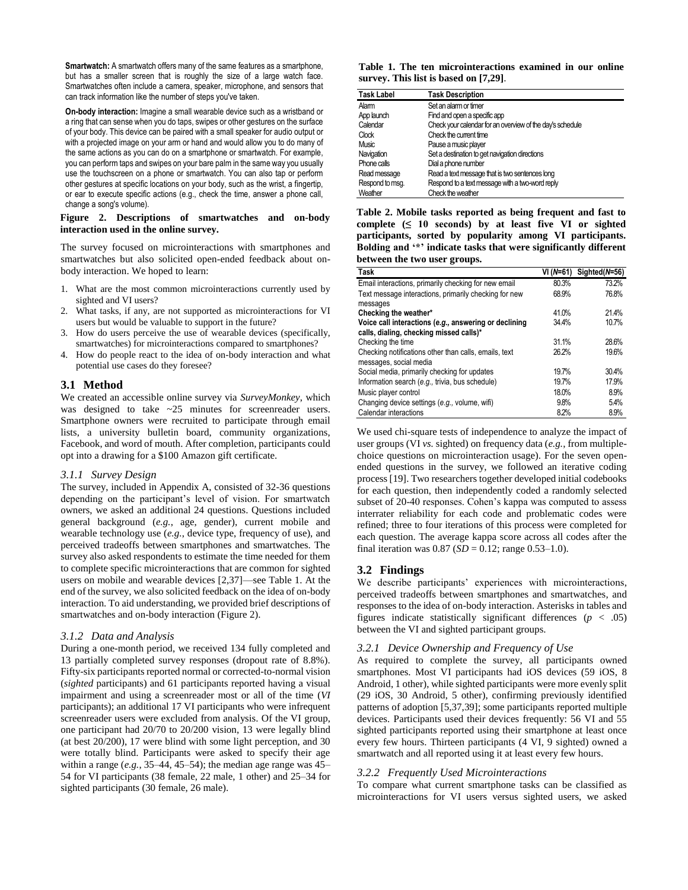**Smartwatch:** A smartwatch offers many of the same features as a smartphone, but has a smaller screen that is roughly the size of a large watch face. Smartwatches often include a camera, speaker, microphone, and sensors that can track information like the number of steps you've taken.

**On-body interaction:** Imagine a small wearable device such as a wristband or a ring that can sense when you do taps, swipes or other gestures on the surface of your body. This device can be paired with a small speaker for audio output or with a projected image on your arm or hand and would allow you to do many of the same actions as you can do on a smartphone or smartwatch. For example, you can perform taps and swipes on your bare palm in the same way you usually use the touchscreen on a phone or smartwatch. You can also tap or perform other gestures at specific locations on your body, such as the wrist, a fingertip, or ear to execute specific actions (e.g., check the time, answer a phone call, change a song's volume).

#### **Figure 2. Descriptions of smartwatches and on-body interaction used in the online survey.**

The survey focused on microinteractions with smartphones and smartwatches but also solicited open-ended feedback about onbody interaction. We hoped to learn:

- 1. What are the most common microinteractions currently used by sighted and VI users?
- 2. What tasks, if any, are not supported as microinteractions for VI users but would be valuable to support in the future?
- 3. How do users perceive the use of wearable devices (specifically, smartwatches) for microinteractions compared to smartphones?
- 4. How do people react to the idea of on-body interaction and what potential use cases do they foresee?

## **3.1 Method**

We created an accessible online survey via *SurveyMonkey*, which was designed to take ~25 minutes for screenreader users. Smartphone owners were recruited to participate through email lists, a university bulletin board, community organizations, Facebook, and word of mouth. After completion, participants could opt into a drawing for a \$100 Amazon gift certificate.

#### *3.1.1 Survey Design*

The survey, included in Appendix A, consisted of 32-36 questions depending on the participant's level of vision. For smartwatch owners, we asked an additional 24 questions. Questions included general background (*e.g.*, age, gender), current mobile and wearable technology use (*e.g.*, device type, frequency of use), and perceived tradeoffs between smartphones and smartwatches. The survey also asked respondents to estimate the time needed for them to complete specific microinteractions that are common for sighted users on mobile and wearable devices [2,37]—see Table 1. At the end of the survey, we also solicited feedback on the idea of on-body interaction. To aid understanding, we provided brief descriptions of smartwatches and on-body interaction (Figure 2).

## *3.1.2 Data and Analysis*

During a one-month period, we received 134 fully completed and 13 partially completed survey responses (dropout rate of 8.8%). Fifty-six participants reported normal or corrected-to-normal vision (*sighted* participants) and 61 participants reported having a visual impairment and using a screenreader most or all of the time (*VI*  participants); an additional 17 VI participants who were infrequent screenreader users were excluded from analysis. Of the VI group, one participant had 20/70 to 20/200 vision, 13 were legally blind (at best 20/200), 17 were blind with some light perception, and 30 were totally blind. Participants were asked to specify their age within a range  $(e.g., 35-44, 45-54)$ ; the median age range was  $45-$ 54 for VI participants (38 female, 22 male, 1 other) and 25–34 for sighted participants (30 female, 26 male).

**Table 1. The ten microinteractions examined in our online survey. This list is based on [7,29]**.

| <b>Task Label</b> | <b>Task Description</b>                                   |  |
|-------------------|-----------------------------------------------------------|--|
| Alam              | Set an alarm or timer                                     |  |
| App launch        | Find and open a specific app                              |  |
| Calendar          | Check your calendar for an overview of the day's schedule |  |
| Clock             | Check the current time                                    |  |
| Music             | Pause a music player                                      |  |
| Navigation        | Set a destination to get navigation directions            |  |
| Phone calls       | Dial a phone number                                       |  |
| Read message      | Read a text message that is two sentences long            |  |
| Respond to msq.   | Respond to a text message with a two-word reply           |  |
| Weather           | Check the weather                                         |  |

**Table 2. Mobile tasks reported as being frequent and fast to**  complete  $( \leq 10$  seconds) by at least five VI or sighted **participants, sorted by popularity among VI participants. Bolding and '\*' indicate tasks that were significantly different between the two user groups.**

| Task                                                  | VI (N=61) | Sighted( $N=56$ ) |
|-------------------------------------------------------|-----------|-------------------|
| Email interactions, primarily checking for new email  | 80.3%     | 73.2%             |
| Text message interactions, primarily checking for new | 68.9%     | 76.8%             |
| messages                                              |           |                   |
| Checking the weather*                                 | 41.0%     | 21.4%             |
| Voice call interactions (e.g., answering or declining | 34.4%     | 10.7%             |
| calls, dialing, checking missed calls)*               |           |                   |
| Checking the time                                     | 31.1%     | 28.6%             |
| Checking notifications other than calls, emails, text | 26.2%     | 19.6%             |
| messages, social media                                |           |                   |
| Social media, primarily checking for updates          | 19.7%     | 30.4%             |
| Information search (e.g., trivia, bus schedule)       | 19.7%     | 17.9%             |
| Music player control                                  | 18.0%     | 8.9%              |
| Changing device settings (e.g., volume, wifi)         | 9.8%      | 5.4%              |
| Calendar interactions                                 | 8.2%      | 8.9%              |

We used chi-square tests of independence to analyze the impact of user groups (VI *vs.* sighted) on frequency data (*e.g.*, from multiplechoice questions on microinteraction usage). For the seven openended questions in the survey, we followed an iterative coding process [19]. Two researchers together developed initial codebooks for each question, then independently coded a randomly selected subset of 20-40 responses. Cohen's kappa was computed to assess interrater reliability for each code and problematic codes were refined; three to four iterations of this process were completed for each question. The average kappa score across all codes after the final iteration was  $0.87$  (*SD* = 0.12; range 0.53–1.0).

# **3.2 Findings**

We describe participants' experiences with microinteractions, perceived tradeoffs between smartphones and smartwatches, and responses to the idea of on-body interaction. Asterisks in tables and figures indicate statistically significant differences (*p* < .05) between the VI and sighted participant groups.

## *3.2.1 Device Ownership and Frequency of Use*

As required to complete the survey, all participants owned smartphones. Most VI participants had iOS devices (59 iOS, 8 Android, 1 other), while sighted participants were more evenly split (29 iOS, 30 Android, 5 other), confirming previously identified patterns of adoption [5,37,39]; some participants reported multiple devices. Participants used their devices frequently: 56 VI and 55 sighted participants reported using their smartphone at least once every few hours. Thirteen participants (4 VI, 9 sighted) owned a smartwatch and all reported using it at least every few hours.

## *3.2.2 Frequently Used Microinteractions*

To compare what current smartphone tasks can be classified as microinteractions for VI users versus sighted users, we asked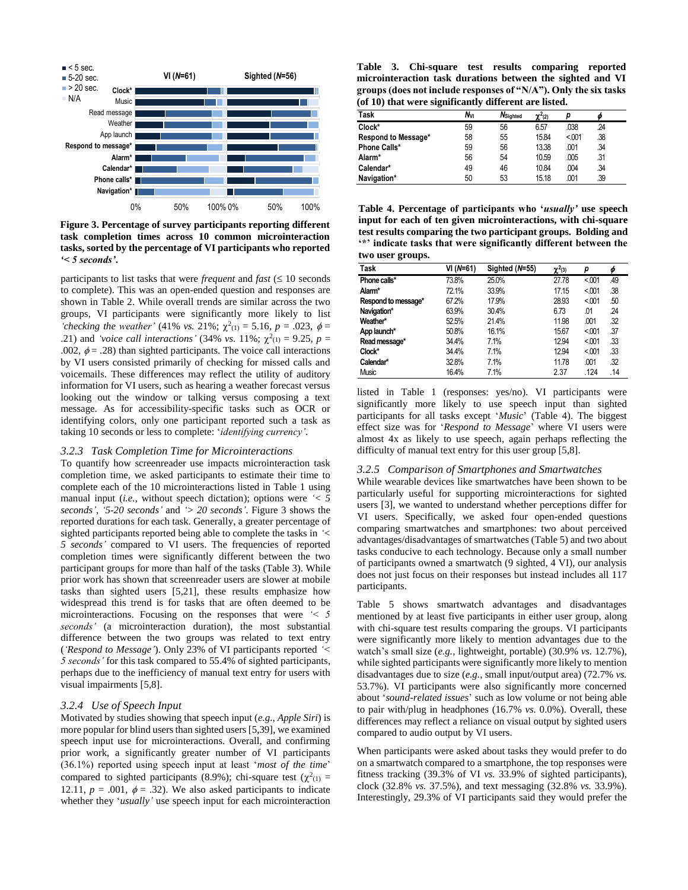

**Figure 3. Percentage of survey participants reporting different task completion times across 10 common microinteraction tasks, sorted by the percentage of VI participants who reported** *'< 5 seconds'***.**

participants to list tasks that were *frequent* and  $fast \leq 10$  seconds to complete). This was an open-ended question and responses are shown in Table 2. While overall trends are similar across the two groups, VI participants were significantly more likely to list '*checking the weather'* (41% *vs.* 21%;  $\chi^2(1)} = 5.16$ ,  $p = .023$ ,  $\phi =$ .21) and *'voice call interactions'* (34% *vs.* 11%;  $\chi^2(i) = 9.25$ ,  $p =$ .002,  $\phi = .28$ ) than sighted participants. The voice call interactions by VI users consisted primarily of checking for missed calls and voicemails. These differences may reflect the utility of auditory information for VI users, such as hearing a weather forecast versus looking out the window or talking versus composing a text message. As for accessibility-specific tasks such as OCR or identifying colors, only one participant reported such a task as taking 10 seconds or less to complete: '*identifying currency'*.

#### *3.2.3 Task Completion Time for Microinteractions*

To quantify how screenreader use impacts microinteraction task completion time, we asked participants to estimate their time to complete each of the 10 microinteractions listed in Table 1 using manual input (*i.e.*, without speech dictation); options were *'< 5 seconds'*, *'5-20 seconds'* and *'> 20 seconds'*. Figure 3 shows the reported durations for each task. Generally, a greater percentage of sighted participants reported being able to complete the tasks in *'< 5 seconds'* compared to VI users. The frequencies of reported completion times were significantly different between the two participant groups for more than half of the tasks (Table 3). While prior work has shown that screenreader users are slower at mobile tasks than sighted users [5,21], these results emphasize how widespread this trend is for tasks that are often deemed to be microinteractions. Focusing on the responses that were *'< 5 seconds'* (a microinteraction duration), the most substantial difference between the two groups was related to text entry (*'Respond to Message'*). Only 23% of VI participants reported *'< 5 seconds'* for this task compared to 55.4% of sighted participants, perhaps due to the inefficiency of manual text entry for users with visual impairments [5,8].

#### *3.2.4 Use of Speech Input*

Motivated by studies showing that speech input (*e.g.*, *Apple Siri*) is more popular for blind users than sighted users [5,39], we examined speech input use for microinteractions. Overall, and confirming prior work, a significantly greater number of VI participants (36.1%) reported using speech input at least '*most of the time*' compared to sighted participants (8.9%); chi-square test ( $\chi^2$ <sub>(1)</sub> = 12.11,  $p = .001$ ,  $\phi = .32$ ). We also asked participants to indicate whether they '*usually'* use speech input for each microinteraction

**Table 3. Chi-square test results comparing reported microinteraction task durations between the sighted and VI groups (does not include responses of "N/A"). Only the six tasks (of 10) that were significantly different are listed.**

|                     | .,<br>$\tilde{\phantom{a}}$ |          |              |       |     |  |
|---------------------|-----------------------------|----------|--------------|-------|-----|--|
| Task                | Nvi                         | Nsighted | $\chi^2$ (2) |       |     |  |
| Clock*              | 59                          | 56       | 6.57         | .038  | .24 |  |
| Respond to Message* | 58                          | 55       | 15.84        | < 001 | .38 |  |
| <b>Phone Calls*</b> | 59                          | 56       | 13.38        | .001  | .34 |  |
| Alarm*              | 56                          | 54       | 10.59        | .005  | .31 |  |
| Calendar*           | 49                          | 46       | 10.84        | .004  | .34 |  |
| Navigation*         | 50                          | 53       | 15.18        | .001  | .39 |  |

**Table 4. Percentage of participants who '***usually'* **use speech input for each of ten given microinteractions, with chi-square test results comparing the two participant groups. Bolding and '\*' indicate tasks that were significantly different between the two user groups.** 

| Task                | VI (N=61) | Sighted (N=55) | $\chi^2$ (3) | р     |     |
|---------------------|-----------|----------------|--------------|-------|-----|
| Phone calls*        | 73.8%     | 25.0%          | 27.78        | < 001 | .49 |
| Alarm*              | 72.1%     | 33.9%          | 17.15        | < 001 | .38 |
| Respond to message* | 67.2%     | 17.9%          | 28.93        | < 001 | .50 |
| Navigation*         | 63.9%     | 30.4%          | 6.73         | .01   | .24 |
| Weather*            | 52.5%     | 21.4%          | 11.98        | .001  | .32 |
| App launch*         | 50.8%     | 16.1%          | 15.67        | < 001 | .37 |
| Read message*       | 34.4%     | 7.1%           | 12.94        | < 001 | .33 |
| Clock*              | 34.4%     | 7.1%           | 12.94        | < 001 | .33 |
| Calendar*           | 32.8%     | 7.1%           | 11.78        | .001  | .32 |
| <b>Music</b>        | 16.4%     | 7.1%           | 2.37         | .124  | .14 |

listed in Table 1 (responses: yes/no). VI participants were significantly more likely to use speech input than sighted participants for all tasks except '*Music*' (Table 4). The biggest effect size was for '*Respond to Message*' where VI users were almost 4x as likely to use speech, again perhaps reflecting the difficulty of manual text entry for this user group [5,8].

## *3.2.5 Comparison of Smartphones and Smartwatches*

While wearable devices like smartwatches have been shown to be particularly useful for supporting microinteractions for sighted users [3], we wanted to understand whether perceptions differ for VI users. Specifically, we asked four open-ended questions comparing smartwatches and smartphones: two about perceived advantages/disadvantages of smartwatches (Table 5) and two about tasks conducive to each technology. Because only a small number of participants owned a smartwatch (9 sighted, 4 VI), our analysis does not just focus on their responses but instead includes all 117 participants.

Table 5 shows smartwatch advantages and disadvantages mentioned by at least five participants in either user group, along with chi-square test results comparing the groups. VI participants were significantly more likely to mention advantages due to the watch's small size (*e.g.*, lightweight, portable) (30.9% *vs.* 12.7%), while sighted participants were significantly more likely to mention disadvantages due to size (*e.g.*, small input/output area) (72.7% *vs.* 53.7%). VI participants were also significantly more concerned about '*sound-related issues*' such as low volume or not being able to pair with/plug in headphones (16.7% *vs.* 0.0%). Overall, these differences may reflect a reliance on visual output by sighted users compared to audio output by VI users.

When participants were asked about tasks they would prefer to do on a smartwatch compared to a smartphone, the top responses were fitness tracking (39.3% of VI *vs.* 33.9% of sighted participants), clock (32.8% *vs.* 37.5%), and text messaging (32.8% *vs.* 33.9%). Interestingly, 29.3% of VI participants said they would prefer the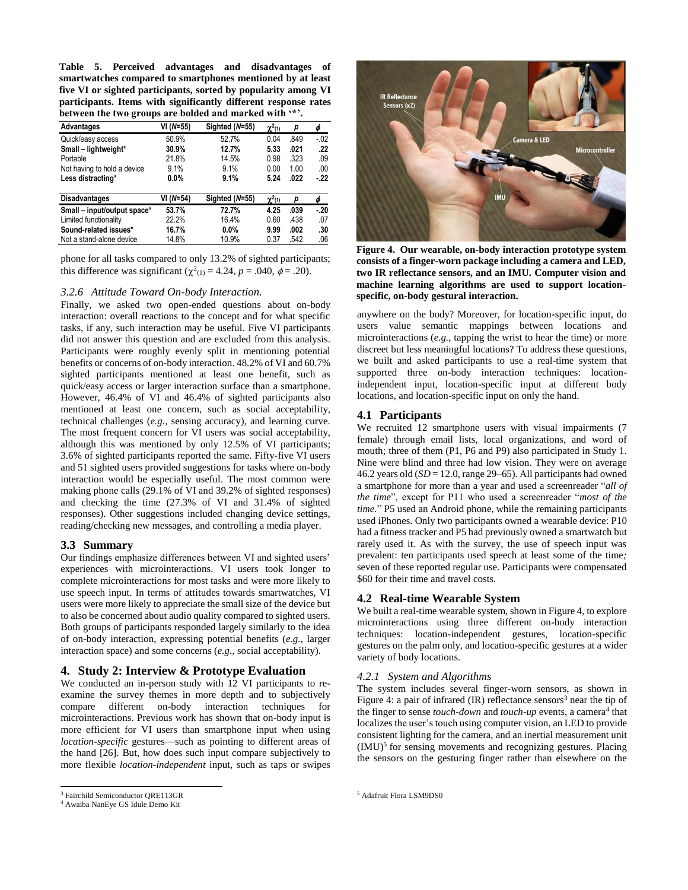**Table 5. Perceived advantages and disadvantages of smartwatches compared to smartphones mentioned by at least five VI or sighted participants, sorted by popularity among VI participants. Items with significantly different response rates between the two groups are bolded and marked with '\*'.**

| <b>Advantages</b>           | VI (N=55) | Sighted (N=55) | $\chi^2$ (1) | р    | φ     |
|-----------------------------|-----------|----------------|--------------|------|-------|
| Quick/easy access           | 50.9%     | 52.7%          | 0.04         | .849 | $-02$ |
| Small - lightweight*        | 30.9%     | 12.7%          | 5.33         | .021 | .22   |
| Portable                    | 21.8%     | 14.5%          | 0.98         | .323 | .09   |
| Not having to hold a device | 9.1%      | 9.1%           | 0.00         | 1.00 | .00   |
| Less distracting*           | $0.0\%$   | 9.1%           | 5.24         | .022 | - 22  |
| <b>Disadvantages</b>        | VI (N=54) | Sighted (N=55) | $\chi^2(1)$  | р    |       |
| Small - input/output space* | 53.7%     | 72.7%          | 4.25         | .039 | -.20  |
| Limited functionality       | 22.2%     | 16.4%          | 0.60         | .438 | .07   |
| Sound-related issues*       | 16.7%     | $0.0\%$        | 9.99         | .002 | .30   |
| Not a stand-alone device    | 14.8%     | 10.9%          | 0.37         | .542 | .06   |

phone for all tasks compared to only 13.2% of sighted participants; this difference was significant  $(\chi^2(1)) = 4.24$ ,  $p = .040$ ,  $\phi = .20$ ).

#### *3.2.6 Attitude Toward On-body Interaction.*

Finally, we asked two open-ended questions about on-body interaction: overall reactions to the concept and for what specific tasks, if any, such interaction may be useful. Five VI participants did not answer this question and are excluded from this analysis. Participants were roughly evenly split in mentioning potential benefits or concerns of on-body interaction. 48.2% of VI and 60.7% sighted participants mentioned at least one benefit, such as quick/easy access or larger interaction surface than a smartphone. However, 46.4% of VI and 46.4% of sighted participants also mentioned at least one concern, such as social acceptability, technical challenges (*e.g.*, sensing accuracy), and learning curve. The most frequent concern for VI users was social acceptability, although this was mentioned by only 12.5% of VI participants; 3.6% of sighted participants reported the same. Fifty-five VI users and 51 sighted users provided suggestions for tasks where on-body interaction would be especially useful. The most common were making phone calls (29.1% of VI and 39.2% of sighted responses) and checking the time (27.3% of VI and 31.4% of sighted responses). Other suggestions included changing device settings, reading/checking new messages, and controlling a media player.

#### **3.3 Summary**

Our findings emphasize differences between VI and sighted users' experiences with microinteractions. VI users took longer to complete microinteractions for most tasks and were more likely to use speech input. In terms of attitudes towards smartwatches, VI users were more likely to appreciate the small size of the device but to also be concerned about audio quality compared to sighted users. Both groups of participants responded largely similarly to the idea of on-body interaction, expressing potential benefits (*e.g.*, larger interaction space) and some concerns (*e.g.*, social acceptability).

# **4. Study 2: Interview & Prototype Evaluation**

We conducted an in-person study with 12 VI participants to reexamine the survey themes in more depth and to subjectively compare different on-body interaction techniques for microinteractions. Previous work has shown that on-body input is more efficient for VI users than smartphone input when using *location-specific* gestures—such as pointing to different areas of the hand [26]. But, how does such input compare subjectively to more flexible *location-independent* input, such as taps or swipes

 $\overline{a}$ 



**Figure 4. Our wearable, on-body interaction prototype system consists of a finger-worn package including a camera and LED, two IR reflectance sensors, and an IMU. Computer vision and machine learning algorithms are used to support locationspecific, on-body gestural interaction.**

anywhere on the body? Moreover, for location-specific input, do users value semantic mappings between locations and microinteractions (*e.g.*, tapping the wrist to hear the time) or more discreet but less meaningful locations? To address these questions, we built and asked participants to use a real-time system that supported three on-body interaction techniques: locationindependent input, location-specific input at different body locations, and location-specific input on only the hand.

## **4.1 Participants**

We recruited 12 smartphone users with visual impairments (7) female) through email lists, local organizations, and word of mouth; three of them (P1, P6 and P9) also participated in Study 1. Nine were blind and three had low vision. They were on average 46.2 years old (*SD* = 12.0, range 29–65). All participants had owned a smartphone for more than a year and used a screenreader "*all of the time*", except for P11 who used a screenreader "*most of the time.*" P5 used an Android phone, while the remaining participants used iPhones. Only two participants owned a wearable device: P10 had a fitness tracker and P5 had previously owned a smartwatch but rarely used it. As with the survey, the use of speech input was prevalent: ten participants used speech at least some of the time*;*  seven of these reported regular use. Participants were compensated \$60 for their time and travel costs.

#### **4.2 Real-time Wearable System**

We built a real-time wearable system, shown in Figure 4, to explore microinteractions using three different on-body interaction techniques: location-independent gestures, location-specific gestures on the palm only, and location-specific gestures at a wider variety of body locations.

## *4.2.1 System and Algorithms*

The system includes several finger-worn sensors, as shown in Figure 4: a pair of infrared  $(IR)$  reflectance sensors<sup>3</sup> near the tip of the finger to sense *touch-down* and *touch-up* events, a camera<sup>4</sup> that localizes the user's touch using computer vision, an LED to provide consistent lighting for the camera, and an inertial measurement unit (IMU)<sup>5</sup> for sensing movements and recognizing gestures. Placing the sensors on the gesturing finger rather than elsewhere on the

<sup>3</sup> Fairchild Semiconductor QRE113GR

<sup>4</sup> Awaiba NanEye GS Idule Demo Kit

<sup>&</sup>lt;sup>5</sup> Adafruit Flora LSM9DS0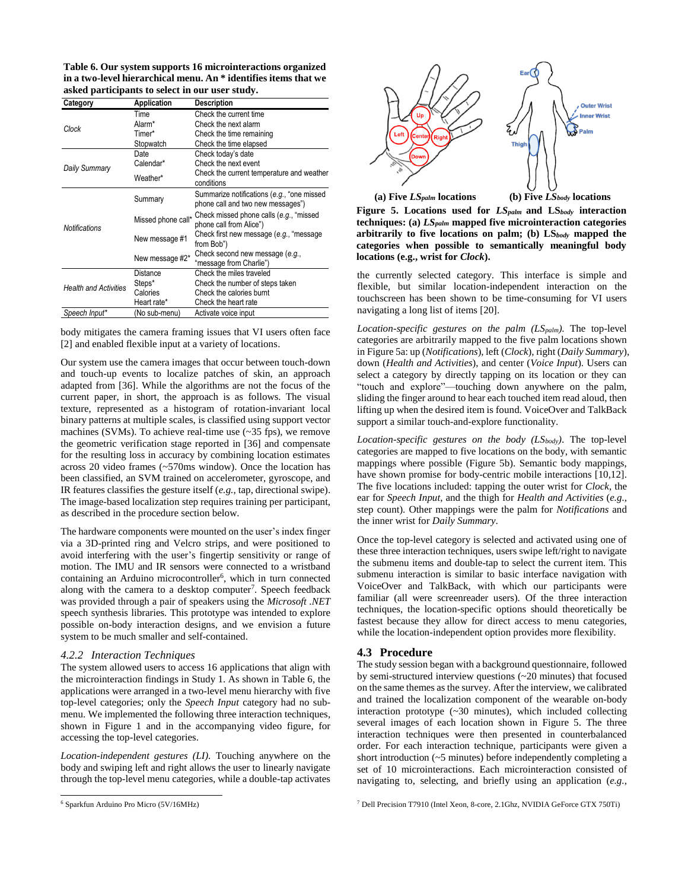**Table 6. Our system supports 16 microinteractions organized in a two-level hierarchical menu. An \* identifies items that we asked participants to select in our user study.**

| Category                     | Application        | <b>Description</b>                                                              |
|------------------------------|--------------------|---------------------------------------------------------------------------------|
| Clock                        | Time               | Check the current time                                                          |
|                              | Alarm*             | Check the next alarm                                                            |
|                              | Timer*             | Check the time remaining                                                        |
|                              | Stopwatch          | Check the time elapsed                                                          |
|                              | Date               | Check today's date                                                              |
| Daily Summary                | Calendar*          | Check the next event                                                            |
|                              | Weather*           | Check the current temperature and weather<br>conditions                         |
| <b>Notifications</b>         | Summary            | Summarize notifications (e.g., "one missed<br>phone call and two new messages") |
|                              | Missed phone call* | Check missed phone calls (e.g., "missed<br>phone call from Alice")              |
|                              | New message #1     | Check first new message (e.g., "message<br>from Bob")                           |
|                              | New message #2*    | Check second new message (e.g.,<br>"message from Charlie")                      |
| <b>Health and Activities</b> | Distance           | Check the miles traveled                                                        |
|                              | Steps*             | Check the number of steps taken                                                 |
|                              | Calories           | Check the calories burnt                                                        |
|                              | Heart rate*        | Check the heart rate                                                            |
| Speech Input*                | (No sub-menu)      | Activate voice input                                                            |

body mitigates the camera framing issues that VI users often face [2] and enabled flexible input at a variety of locations.

Our system use the camera images that occur between touch-down and touch-up events to localize patches of skin, an approach adapted from [36]. While the algorithms are not the focus of the current paper, in short, the approach is as follows. The visual texture, represented as a histogram of rotation-invariant local binary patterns at multiple scales, is classified using support vector machines (SVMs). To achieve real-time use (~35 fps), we remove the geometric verification stage reported in [36] and compensate for the resulting loss in accuracy by combining location estimates across 20 video frames (~570ms window). Once the location has been classified, an SVM trained on accelerometer, gyroscope, and IR features classifies the gesture itself (*e.g.*, tap, directional swipe). The image-based localization step requires training per participant, as described in the procedure section below.

The hardware components were mounted on the user's index finger via a 3D-printed ring and Velcro strips, and were positioned to avoid interfering with the user's fingertip sensitivity or range of motion. The IMU and IR sensors were connected to a wristband containing an Arduino microcontroller<sup>6</sup>, which in turn connected along with the camera to a desktop computer<sup>7</sup>. Speech feedback was provided through a pair of speakers using the *Microsoft .NET* speech synthesis libraries. This prototype was intended to explore possible on-body interaction designs, and we envision a future system to be much smaller and self-contained.

#### *4.2.2 Interaction Techniques*

The system allowed users to access 16 applications that align with the microinteraction findings in Study 1. As shown in Table 6, the applications were arranged in a two-level menu hierarchy with five top-level categories; only the *Speech Input* category had no submenu. We implemented the following three interaction techniques, shown in Figure 1 and in the accompanying video figure, for accessing the top-level categories.

*Location-independent gestures (LI).* Touching anywhere on the body and swiping left and right allows the user to linearly navigate through the top-level menu categories, while a double-tap activates

l



**Figure 5. Locations used for** *LSpalm* **and LS***body* **interaction techniques: (a)** *LSpalm* **mapped five microinteraction categories arbitrarily to five locations on palm; (b) LS***body* **mapped the categories when possible to semantically meaningful body locations (e.g., wrist for** *Clock***).** 

the currently selected category. This interface is simple and flexible, but similar location-independent interaction on the touchscreen has been shown to be time-consuming for VI users navigating a long list of items [20].

*Location-specific gestures on the palm (LSpalm)*. The top-level categories are arbitrarily mapped to the five palm locations shown in Figure 5a: up (*Notifications*), left (*Clock*), right (*Daily Summary*), down (*Health and Activities*), and center (*Voice Input*). Users can select a category by directly tapping on its location or they can "touch and explore"—touching down anywhere on the palm, sliding the finger around to hear each touched item read aloud, then lifting up when the desired item is found. VoiceOver and TalkBack support a similar touch-and-explore functionality.

*Location-specific gestures on the body (LSbody)*. The top-level categories are mapped to five locations on the body, with semantic mappings where possible (Figure 5b). Semantic body mappings, have shown promise for body-centric mobile interactions [10,12]. The five locations included: tapping the outer wrist for *Clock*, the ear for *Speech Input*, and the thigh for *Health and Activities* (*e.g.*, step count). Other mappings were the palm for *Notifications* and the inner wrist for *Daily Summary*.

Once the top-level category is selected and activated using one of these three interaction techniques, users swipe left/right to navigate the submenu items and double-tap to select the current item. This submenu interaction is similar to basic interface navigation with VoiceOver and TalkBack, with which our participants were familiar (all were screenreader users). Of the three interaction techniques, the location-specific options should theoretically be fastest because they allow for direct access to menu categories, while the location-independent option provides more flexibility.

## **4.3 Procedure**

The study session began with a background questionnaire, followed by semi-structured interview questions (~20 minutes) that focused on the same themes as the survey. After the interview, we calibrated and trained the localization component of the wearable on-body interaction prototype (~30 minutes), which included collecting several images of each location shown in Figure 5. The three interaction techniques were then presented in counterbalanced order. For each interaction technique, participants were given a short introduction (~5 minutes) before independently completing a set of 10 microinteractions. Each microinteraction consisted of navigating to, selecting, and briefly using an application (*e.g.*,

<sup>7</sup> Dell Precision T7910 (Intel Xeon, 8-core, 2.1Ghz, NVIDIA GeForce GTX 750Ti)

<sup>6</sup> Sparkfun Arduino Pro Micro (5V/16MHz)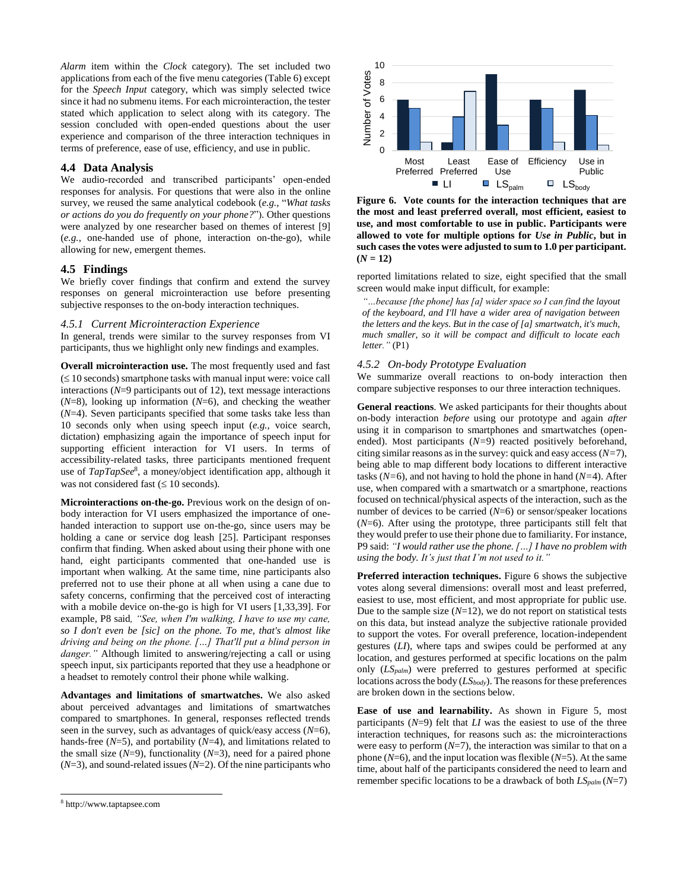*Alarm* item within the *Clock* category). The set included two applications from each of the five menu categories (Table 6) except for the *Speech Input* category, which was simply selected twice since it had no submenu items. For each microinteraction, the tester stated which application to select along with its category. The session concluded with open-ended questions about the user experience and comparison of the three interaction techniques in terms of preference, ease of use, efficiency, and use in public.

# **4.4 Data Analysis**

We audio-recorded and transcribed participants' open-ended responses for analysis. For questions that were also in the online survey, we reused the same analytical codebook (*e.g.*, "*What tasks or actions do you do frequently on your phone?*"). Other questions were analyzed by one researcher based on themes of interest [9] (*e.g.*, one-handed use of phone, interaction on-the-go), while allowing for new, emergent themes.

# **4.5 Findings**

We briefly cover findings that confirm and extend the survey responses on general microinteraction use before presenting subjective responses to the on-body interaction techniques.

# *4.5.1 Current Microinteraction Experience*

In general, trends were similar to the survey responses from VI participants, thus we highlight only new findings and examples.

**Overall microinteraction use.** The most frequently used and fast  $(\leq 10$  seconds) smartphone tasks with manual input were: voice call interactions (*N*=9 participants out of 12), text message interactions (*N*=8), looking up information (*N*=6), and checking the weather (*N*=4). Seven participants specified that some tasks take less than 10 seconds only when using speech input (*e.g.,* voice search, dictation) emphasizing again the importance of speech input for supporting efficient interaction for VI users. In terms of accessibility-related tasks, three participants mentioned frequent use of *TapTapSee*<sup>8</sup> , a money/object identification app, although it was not considered fast  $( \leq 10$  seconds).

**Microinteractions on-the-go.** Previous work on the design of onbody interaction for VI users emphasized the importance of onehanded interaction to support use on-the-go, since users may be holding a cane or service dog leash [25]. Participant responses confirm that finding. When asked about using their phone with one hand, eight participants commented that one-handed use is important when walking. At the same time, nine participants also preferred not to use their phone at all when using a cane due to safety concerns, confirming that the perceived cost of interacting with a mobile device on-the-go is high for VI users [1,33,39]. For example, P8 said*, "See, when I'm walking, I have to use my cane, so I don't even be [sic] on the phone. To me, that's almost like driving and being on the phone. […] That'll put a blind person in danger."* Although limited to answering/rejecting a call or using speech input, six participants reported that they use a headphone or a headset to remotely control their phone while walking.

**Advantages and limitations of smartwatches.** We also asked about perceived advantages and limitations of smartwatches compared to smartphones. In general, responses reflected trends seen in the survey, such as advantages of quick/easy access (*N*=6), hands-free (*N*=5), and portability (*N*=4), and limitations related to the small size  $(N=9)$ , functionality  $(N=3)$ , need for a paired phone (*N*=3), and sound-related issues (*N*=2). Of the nine participants who



 $\overline{a}$ 



**Figure 6. Vote counts for the interaction techniques that are the most and least preferred overall, most efficient, easiest to use, and most comfortable to use in public. Participants were allowed to vote for multiple options for** *Use in Public***, but in such cases the votes were adjusted to sum to 1.0 per participant.**  $(N = 12)$ 

reported limitations related to size, eight specified that the small screen would make input difficult, for example:

*"…because [the phone] has [a] wider space so I can find the layout of the keyboard, and I'll have a wider area of navigation between the letters and the keys. But in the case of [a] smartwatch, it's much, much smaller, so it will be compact and difficult to locate each letter."* (P1)

## *4.5.2 On-body Prototype Evaluation*

We summarize overall reactions to on-body interaction then compare subjective responses to our three interaction techniques.

**General reactions**. We asked participants for their thoughts about on-body interaction *before* using our prototype and again *after* using it in comparison to smartphones and smartwatches (openended). Most participants (*N=*9) reacted positively beforehand, citing similar reasons as in the survey: quick and easy access (*N=*7), being able to map different body locations to different interactive tasks (*N=*6), and not having to hold the phone in hand (*N=*4). After use, when compared with a smartwatch or a smartphone, reactions focused on technical/physical aspects of the interaction, such as the number of devices to be carried (*N*=6) or sensor/speaker locations (*N*=6). After using the prototype, three participants still felt that they would prefer to use their phone due to familiarity. For instance, P9 said: *"I would rather use the phone. […] I have no problem with using the body. It's just that I'm not used to it."*

**Preferred interaction techniques.** Figure 6 shows the subjective votes along several dimensions: overall most and least preferred, easiest to use, most efficient, and most appropriate for public use. Due to the sample size  $(N=12)$ , we do not report on statistical tests on this data, but instead analyze the subjective rationale provided to support the votes. For overall preference, location-independent gestures (*LI*), where taps and swipes could be performed at any location, and gestures performed at specific locations on the palm only (*LSpalm*) were preferred to gestures performed at specific locations across the body (*LSbody*). The reasons for these preferences are broken down in the sections below.

**Ease of use and learnability.** As shown in Figure 5, most participants  $(N=9)$  felt that *LI* was the easiest to use of the three interaction techniques, for reasons such as: the microinteractions were easy to perform  $(N=7)$ , the interaction was similar to that on a phone (*N*=6), and the input location was flexible (*N*=5). At the same time, about half of the participants considered the need to learn and remember specific locations to be a drawback of both *LSpalm* (*N*=7)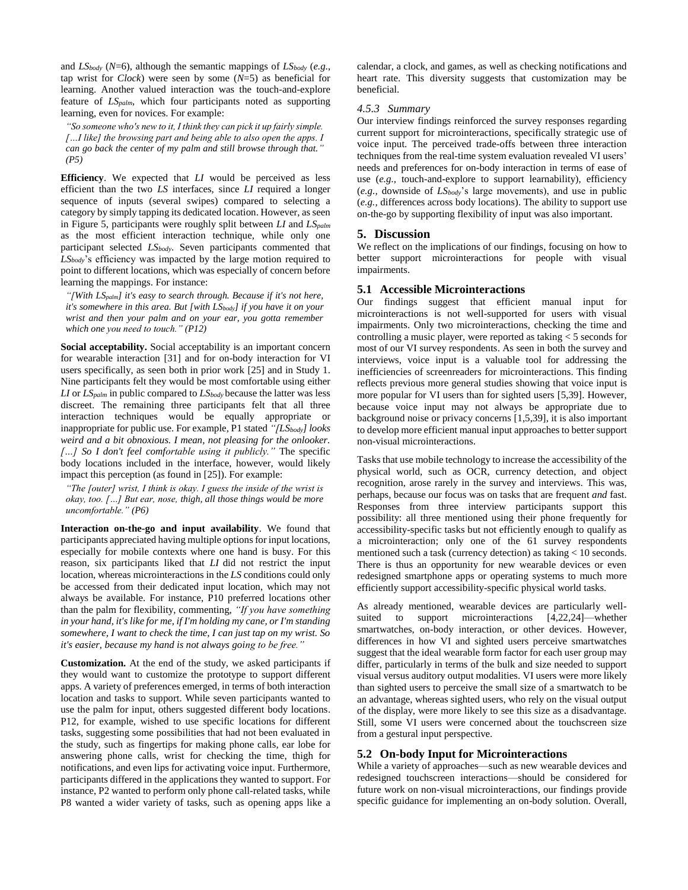and *LSbody* (*N*=6), although the semantic mappings of *LSbody* (*e.g*., tap wrist for *Clock*) were seen by some (*N*=5) as beneficial for learning. Another valued interaction was the touch-and-explore feature of *LSpalm*, which four participants noted as supporting learning, even for novices. For example:

*"So someone who's new to it, I think they can pick it up fairly simple. […I like] the browsing part and being able to also open the apps. I can go back the center of my palm and still browse through that." (P5)*

**Efficiency**. We expected that *LI* would be perceived as less efficient than the two *LS* interfaces, since *LI* required a longer sequence of inputs (several swipes) compared to selecting a category by simply tapping its dedicated location. However, as seen in Figure 5, participants were roughly split between *LI* and *LSpalm* as the most efficient interaction technique, while only one participant selected *LSbody*. Seven participants commented that *LSbody*'s efficiency was impacted by the large motion required to point to different locations, which was especially of concern before learning the mappings. For instance:

*"[With LSpalm] it's easy to search through. Because if it's not here, it's somewhere in this area. But [with LSbody] if you have it on your wrist and then your palm and on your ear, you gotta remember which one you need to touch." (P12)*

**Social acceptability.** Social acceptability is an important concern for wearable interaction [31] and for on-body interaction for VI users specifically, as seen both in prior work [25] and in Study 1. Nine participants felt they would be most comfortable using either *LI* or *LSpalm* in public compared to *LSbody* because the latter was less discreet. The remaining three participants felt that all three interaction techniques would be equally appropriate or inappropriate for public use. For example, P1 stated *"[LSbody] looks weird and a bit obnoxious. I mean, not pleasing for the onlooker. […] So I don't feel comfortable using it publicly."* The specific body locations included in the interface, however, would likely impact this perception (as found in [25]). For example:

*"The [outer] wrist, I think is okay. I guess the inside of the wrist is okay, too. […] But ear, nose, thigh, all those things would be more uncomfortable." (P6)*

**Interaction on-the-go and input availability**. We found that participants appreciated having multiple options for input locations, especially for mobile contexts where one hand is busy. For this reason, six participants liked that *LI* did not restrict the input location, whereas microinteractions in the *LS* conditions could only be accessed from their dedicated input location, which may not always be available. For instance, P10 preferred locations other than the palm for flexibility, commenting, *"If you have something in your hand, it's like for me, if I'm holding my cane, or I'm standing somewhere, I want to check the time, I can just tap on my wrist. So it's easier, because my hand is not always going to be free."*

**Customization.** At the end of the study, we asked participants if they would want to customize the prototype to support different apps. A variety of preferences emerged, in terms of both interaction location and tasks to support. While seven participants wanted to use the palm for input, others suggested different body locations. P12, for example, wished to use specific locations for different tasks, suggesting some possibilities that had not been evaluated in the study, such as fingertips for making phone calls, ear lobe for answering phone calls, wrist for checking the time, thigh for notifications, and even lips for activating voice input. Furthermore, participants differed in the applications they wanted to support. For instance, P2 wanted to perform only phone call-related tasks, while P8 wanted a wider variety of tasks, such as opening apps like a

calendar, a clock, and games, as well as checking notifications and heart rate. This diversity suggests that customization may be beneficial.

#### *4.5.3 Summary*

Our interview findings reinforced the survey responses regarding current support for microinteractions, specifically strategic use of voice input. The perceived trade-offs between three interaction techniques from the real-time system evaluation revealed VI users' needs and preferences for on-body interaction in terms of ease of use (*e.g.,* touch-and-explore to support learnability), efficiency (*e.g.,* downside of *LSbody*'s large movements), and use in public (*e.g.,* differences across body locations). The ability to support use on-the-go by supporting flexibility of input was also important.

# **5. Discussion**

We reflect on the implications of our findings, focusing on how to better support microinteractions for people with visual impairments.

## **5.1 Accessible Microinteractions**

Our findings suggest that efficient manual input for microinteractions is not well-supported for users with visual impairments. Only two microinteractions, checking the time and controlling a music player, were reported as taking < 5 seconds for most of our VI survey respondents. As seen in both the survey and interviews, voice input is a valuable tool for addressing the inefficiencies of screenreaders for microinteractions. This finding reflects previous more general studies showing that voice input is more popular for VI users than for sighted users [5,39]. However, because voice input may not always be appropriate due to background noise or privacy concerns [1,5,39], it is also important to develop more efficient manual input approaches to better support non-visual microinteractions.

Tasks that use mobile technology to increase the accessibility of the physical world, such as OCR, currency detection, and object recognition, arose rarely in the survey and interviews. This was, perhaps, because our focus was on tasks that are frequent *and* fast. Responses from three interview participants support this possibility: all three mentioned using their phone frequently for accessibility-specific tasks but not efficiently enough to qualify as a microinteraction; only one of the 61 survey respondents mentioned such a task (currency detection) as taking < 10 seconds. There is thus an opportunity for new wearable devices or even redesigned smartphone apps or operating systems to much more efficiently support accessibility-specific physical world tasks.

As already mentioned, wearable devices are particularly wellsuited to support microinteractions [4,22,24]—whether smartwatches, on-body interaction, or other devices. However, differences in how VI and sighted users perceive smartwatches suggest that the ideal wearable form factor for each user group may differ, particularly in terms of the bulk and size needed to support visual versus auditory output modalities. VI users were more likely than sighted users to perceive the small size of a smartwatch to be an advantage, whereas sighted users, who rely on the visual output of the display, were more likely to see this size as a disadvantage. Still, some VI users were concerned about the touchscreen size from a gestural input perspective.

# **5.2 On-body Input for Microinteractions**

While a variety of approaches—such as new wearable devices and redesigned touchscreen interactions—should be considered for future work on non-visual microinteractions, our findings provide specific guidance for implementing an on-body solution. Overall,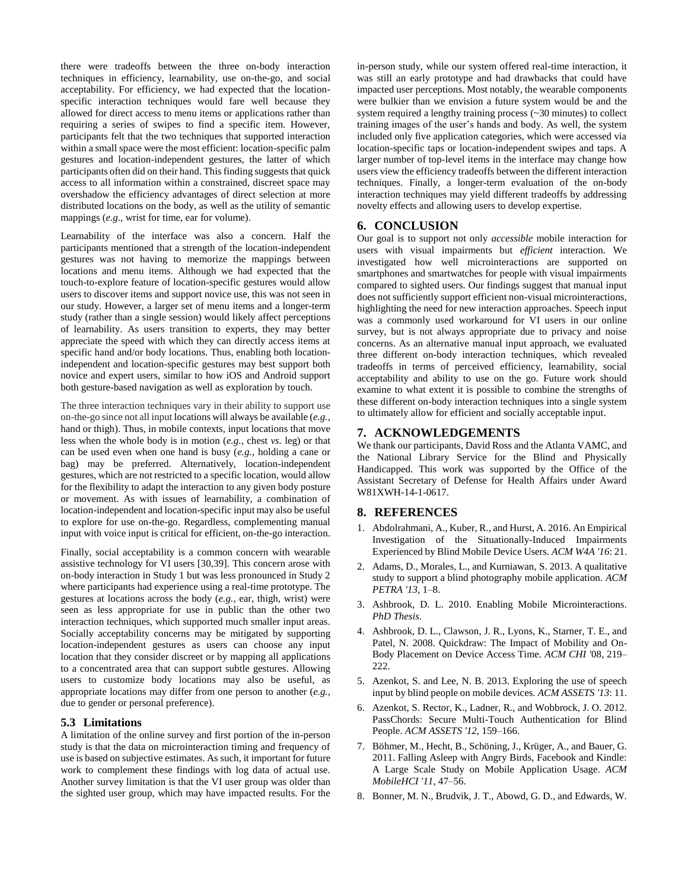there were tradeoffs between the three on-body interaction techniques in efficiency, learnability, use on-the-go, and social acceptability. For efficiency, we had expected that the locationspecific interaction techniques would fare well because they allowed for direct access to menu items or applications rather than requiring a series of swipes to find a specific item. However, participants felt that the two techniques that supported interaction within a small space were the most efficient: location-specific palm gestures and location-independent gestures, the latter of which participants often did on their hand. This finding suggests that quick access to all information within a constrained, discreet space may overshadow the efficiency advantages of direct selection at more distributed locations on the body, as well as the utility of semantic mappings (*e.g.*, wrist for time, ear for volume).

Learnability of the interface was also a concern. Half the participants mentioned that a strength of the location-independent gestures was not having to memorize the mappings between locations and menu items. Although we had expected that the touch-to-explore feature of location-specific gestures would allow users to discover items and support novice use, this was not seen in our study. However, a larger set of menu items and a longer-term study (rather than a single session) would likely affect perceptions of learnability. As users transition to experts, they may better appreciate the speed with which they can directly access items at specific hand and/or body locations. Thus, enabling both locationindependent and location-specific gestures may best support both novice and expert users, similar to how iOS and Android support both gesture-based navigation as well as exploration by touch.

The three interaction techniques vary in their ability to support use on-the-go since not all input locations will always be available (*e.g.*, hand or thigh). Thus, in mobile contexts, input locations that move less when the whole body is in motion (*e.g.*, chest *vs.* leg) or that can be used even when one hand is busy (*e.g.*, holding a cane or bag) may be preferred. Alternatively, location-independent gestures, which are not restricted to a specific location, would allow for the flexibility to adapt the interaction to any given body posture or movement. As with issues of learnability, a combination of location-independent and location-specific input may also be useful to explore for use on-the-go. Regardless, complementing manual input with voice input is critical for efficient, on-the-go interaction.

Finally, social acceptability is a common concern with wearable assistive technology for VI users [30,39]. This concern arose with on-body interaction in Study 1 but was less pronounced in Study 2 where participants had experience using a real-time prototype. The gestures at locations across the body (*e.g.*, ear, thigh, wrist) were seen as less appropriate for use in public than the other two interaction techniques, which supported much smaller input areas. Socially acceptability concerns may be mitigated by supporting location-independent gestures as users can choose any input location that they consider discreet or by mapping all applications to a concentrated area that can support subtle gestures. Allowing users to customize body locations may also be useful, as appropriate locations may differ from one person to another (*e.g.*, due to gender or personal preference).

## **5.3 Limitations**

A limitation of the online survey and first portion of the in-person study is that the data on microinteraction timing and frequency of use is based on subjective estimates. As such, it important for future work to complement these findings with log data of actual use. Another survey limitation is that the VI user group was older than the sighted user group, which may have impacted results. For the in-person study, while our system offered real-time interaction, it was still an early prototype and had drawbacks that could have impacted user perceptions. Most notably, the wearable components were bulkier than we envision a future system would be and the system required a lengthy training process (~30 minutes) to collect training images of the user's hands and body. As well, the system included only five application categories, which were accessed via location-specific taps or location-independent swipes and taps. A larger number of top-level items in the interface may change how users view the efficiency tradeoffs between the different interaction techniques. Finally, a longer-term evaluation of the on-body interaction techniques may yield different tradeoffs by addressing novelty effects and allowing users to develop expertise.

# **6. CONCLUSION**

Our goal is to support not only *accessible* mobile interaction for users with visual impairments but *efficient* interaction. We investigated how well microinteractions are supported on smartphones and smartwatches for people with visual impairments compared to sighted users. Our findings suggest that manual input does not sufficiently support efficient non-visual microinteractions, highlighting the need for new interaction approaches. Speech input was a commonly used workaround for VI users in our online survey, but is not always appropriate due to privacy and noise concerns. As an alternative manual input approach, we evaluated three different on-body interaction techniques, which revealed tradeoffs in terms of perceived efficiency, learnability, social acceptability and ability to use on the go. Future work should examine to what extent it is possible to combine the strengths of these different on-body interaction techniques into a single system to ultimately allow for efficient and socially acceptable input.

# **7. ACKNOWLEDGEMENTS**

We thank our participants, David Ross and the Atlanta VAMC, and the National Library Service for the Blind and Physically Handicapped. This work was supported by the Office of the Assistant Secretary of Defense for Health Affairs under Award W81XWH-14-1-0617.

## **8. REFERENCES**

- 1. Abdolrahmani, A., Kuber, R., and Hurst, A. 2016. An Empirical Investigation of the Situationally-Induced Impairments Experienced by Blind Mobile Device Users. *ACM W4A '16*: 21.
- 2. Adams, D., Morales, L., and Kurniawan, S. 2013. A qualitative study to support a blind photography mobile application. *ACM PETRA '13*, 1–8.
- 3. Ashbrook, D. L. 2010. Enabling Mobile Microinteractions. *PhD Thesis*.
- 4. Ashbrook, D. L., Clawson, J. R., Lyons, K., Starner, T. E., and Patel, N. 2008. Quickdraw: The Impact of Mobility and On-Body Placement on Device Access Time. *ACM CHI '*08, 219– 222.
- 5. Azenkot, S. and Lee, N. B. 2013. Exploring the use of speech input by blind people on mobile devices. *ACM ASSETS '13*: 11.
- 6. Azenkot, S. Rector, K., Ladner, R., and Wobbrock, J. O. 2012. PassChords: Secure Multi-Touch Authentication for Blind People. *ACM ASSETS '12,* 159–166.
- 7. Böhmer, M., Hecht, B., Schöning, J., Krüger, A., and Bauer, G. 2011. Falling Asleep with Angry Birds, Facebook and Kindle: A Large Scale Study on Mobile Application Usage. *ACM MobileHCI '11*, 47–56.
- 8. Bonner, M. N., Brudvik, J. T., Abowd, G. D., and Edwards, W.